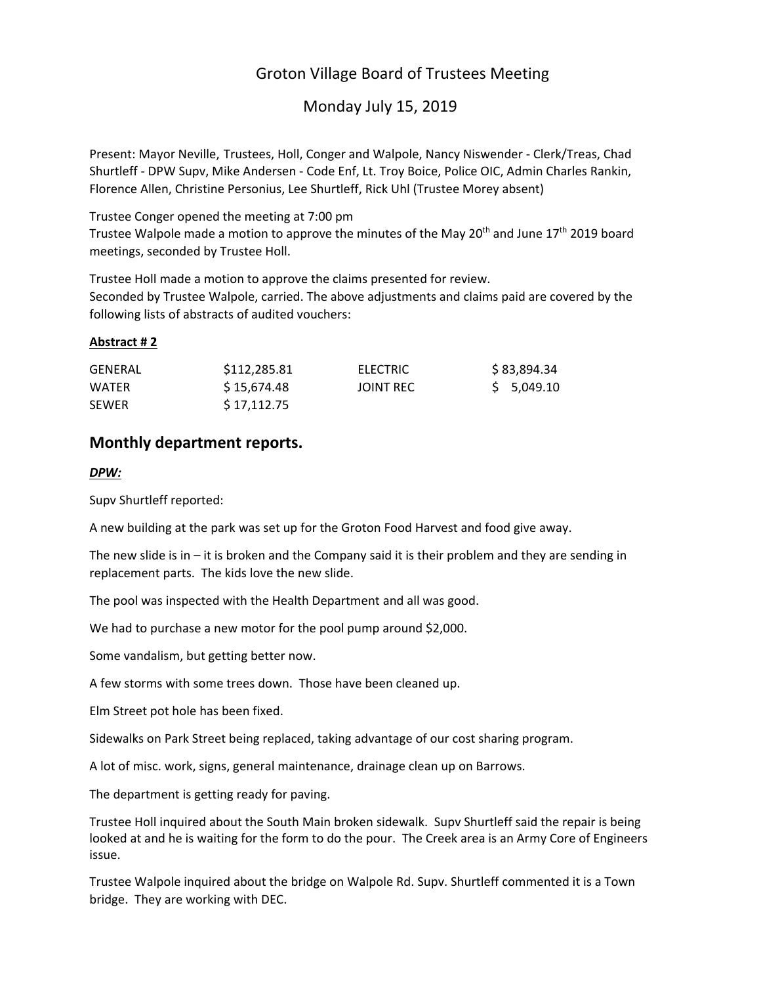# Groton Village Board of Trustees Meeting

# Monday July 15, 2019

Present: Mayor Neville, Trustees, Holl, Conger and Walpole, Nancy Niswender ‐ Clerk/Treas, Chad Shurtleff ‐ DPW Supv, Mike Andersen ‐ Code Enf, Lt. Troy Boice, Police OIC, Admin Charles Rankin, Florence Allen, Christine Personius, Lee Shurtleff, Rick Uhl (Trustee Morey absent)

Trustee Conger opened the meeting at 7:00 pm

Trustee Walpole made a motion to approve the minutes of the May 20<sup>th</sup> and June 17<sup>th</sup> 2019 board meetings, seconded by Trustee Holl.

Trustee Holl made a motion to approve the claims presented for review.

Seconded by Trustee Walpole, carried. The above adjustments and claims paid are covered by the following lists of abstracts of audited vouchers:

## **Abstract # 2**

| GENERAL      | \$112,285.81 | ELECTRIC         | \$83,894.34 |
|--------------|--------------|------------------|-------------|
| WATER        | S 15.674.48  | <b>JOINT REC</b> | \$5,049.10  |
| <b>SEWER</b> | S 17.112.75  |                  |             |

## **Monthly department reports.**

### *DPW:*

Supv Shurtleff reported:

A new building at the park was set up for the Groton Food Harvest and food give away.

The new slide is in  $-$  it is broken and the Company said it is their problem and they are sending in replacement parts. The kids love the new slide.

The pool was inspected with the Health Department and all was good.

We had to purchase a new motor for the pool pump around \$2,000.

Some vandalism, but getting better now.

A few storms with some trees down. Those have been cleaned up.

Elm Street pot hole has been fixed.

Sidewalks on Park Street being replaced, taking advantage of our cost sharing program.

A lot of misc. work, signs, general maintenance, drainage clean up on Barrows.

The department is getting ready for paving.

Trustee Holl inquired about the South Main broken sidewalk. Supv Shurtleff said the repair is being looked at and he is waiting for the form to do the pour. The Creek area is an Army Core of Engineers issue.

Trustee Walpole inquired about the bridge on Walpole Rd. Supv. Shurtleff commented it is a Town bridge. They are working with DEC.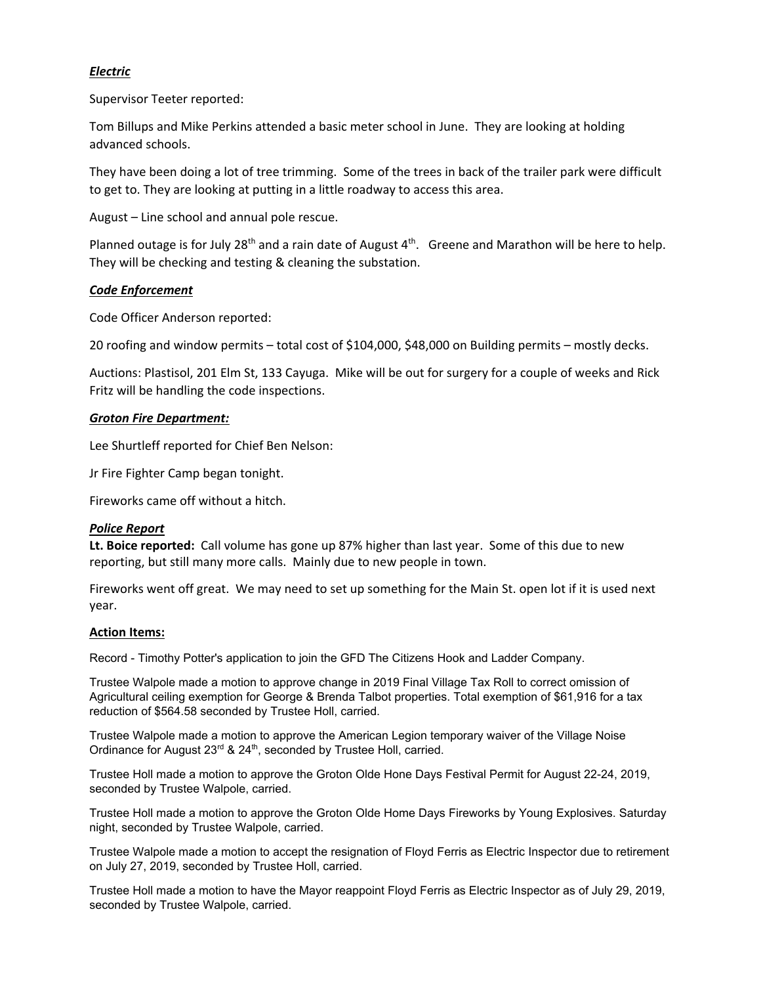## *Electric*

Supervisor Teeter reported:

Tom Billups and Mike Perkins attended a basic meter school in June. They are looking at holding advanced schools.

They have been doing a lot of tree trimming. Some of the trees in back of the trailer park were difficult to get to. They are looking at putting in a little roadway to access this area.

August – Line school and annual pole rescue.

Planned outage is for July 28<sup>th</sup> and a rain date of August 4<sup>th</sup>. Greene and Marathon will be here to help. They will be checking and testing & cleaning the substation.

## *Code Enforcement*

Code Officer Anderson reported:

20 roofing and window permits – total cost of \$104,000, \$48,000 on Building permits – mostly decks.

Auctions: Plastisol, 201 Elm St, 133 Cayuga. Mike will be out for surgery for a couple of weeks and Rick Fritz will be handling the code inspections.

### *Groton Fire Department:*

Lee Shurtleff reported for Chief Ben Nelson:

Jr Fire Fighter Camp began tonight.

Fireworks came off without a hitch.

### *Police Report*

**Lt. Boice reported:** Call volume has gone up 87% higher than last year. Some of this due to new reporting, but still many more calls. Mainly due to new people in town.

Fireworks went off great. We may need to set up something for the Main St. open lot if it is used next year.

### **Action Items:**

Record - Timothy Potter's application to join the GFD The Citizens Hook and Ladder Company.

Trustee Walpole made a motion to approve change in 2019 Final Village Tax Roll to correct omission of Agricultural ceiling exemption for George & Brenda Talbot properties. Total exemption of \$61,916 for a tax reduction of \$564.58 seconded by Trustee Holl, carried.

Trustee Walpole made a motion to approve the American Legion temporary waiver of the Village Noise Ordinance for August 23<sup>rd</sup> & 24<sup>th</sup>, seconded by Trustee Holl, carried.

Trustee Holl made a motion to approve the Groton Olde Hone Days Festival Permit for August 22-24, 2019, seconded by Trustee Walpole, carried.

Trustee Holl made a motion to approve the Groton Olde Home Days Fireworks by Young Explosives. Saturday night, seconded by Trustee Walpole, carried.

Trustee Walpole made a motion to accept the resignation of Floyd Ferris as Electric Inspector due to retirement on July 27, 2019, seconded by Trustee Holl, carried.

Trustee Holl made a motion to have the Mayor reappoint Floyd Ferris as Electric Inspector as of July 29, 2019, seconded by Trustee Walpole, carried.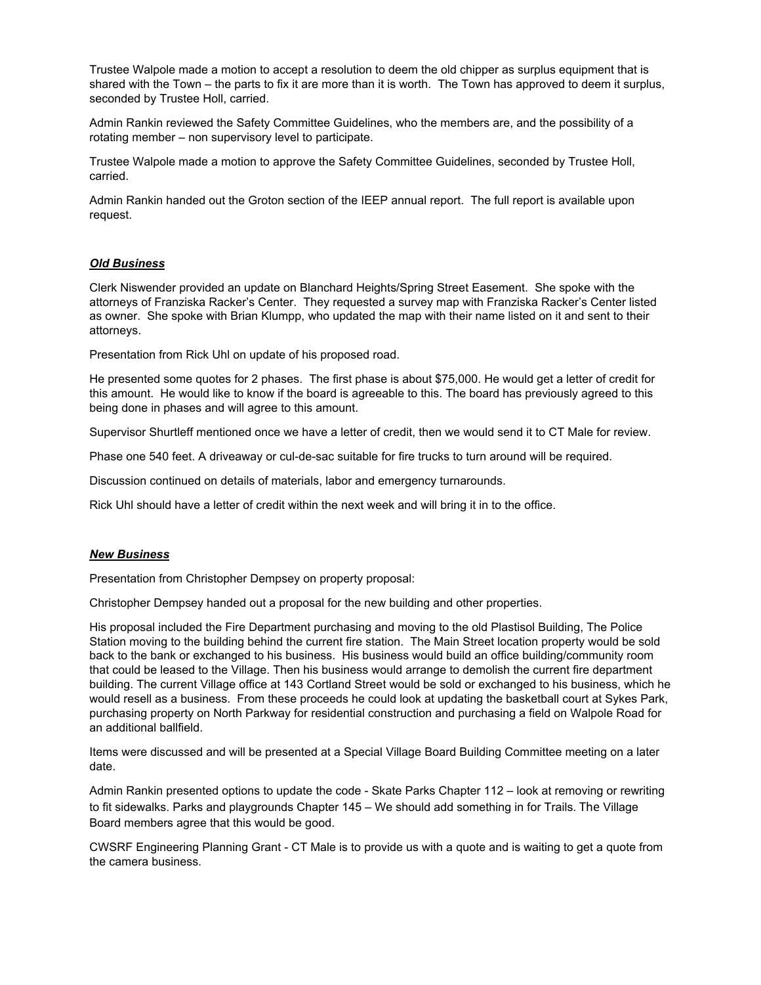Trustee Walpole made a motion to accept a resolution to deem the old chipper as surplus equipment that is shared with the Town – the parts to fix it are more than it is worth. The Town has approved to deem it surplus, seconded by Trustee Holl, carried.

Admin Rankin reviewed the Safety Committee Guidelines, who the members are, and the possibility of a rotating member – non supervisory level to participate.

Trustee Walpole made a motion to approve the Safety Committee Guidelines, seconded by Trustee Holl, carried.

Admin Rankin handed out the Groton section of the IEEP annual report. The full report is available upon request.

#### *Old Business*

Clerk Niswender provided an update on Blanchard Heights/Spring Street Easement. She spoke with the attorneys of Franziska Racker's Center. They requested a survey map with Franziska Racker's Center listed as owner. She spoke with Brian Klumpp, who updated the map with their name listed on it and sent to their attorneys.

Presentation from Rick Uhl on update of his proposed road.

He presented some quotes for 2 phases. The first phase is about \$75,000. He would get a letter of credit for this amount. He would like to know if the board is agreeable to this. The board has previously agreed to this being done in phases and will agree to this amount.

Supervisor Shurtleff mentioned once we have a letter of credit, then we would send it to CT Male for review.

Phase one 540 feet. A driveaway or cul-de-sac suitable for fire trucks to turn around will be required.

Discussion continued on details of materials, labor and emergency turnarounds.

Rick Uhl should have a letter of credit within the next week and will bring it in to the office.

#### *New Business*

Presentation from Christopher Dempsey on property proposal:

Christopher Dempsey handed out a proposal for the new building and other properties.

His proposal included the Fire Department purchasing and moving to the old Plastisol Building, The Police Station moving to the building behind the current fire station. The Main Street location property would be sold back to the bank or exchanged to his business. His business would build an office building/community room that could be leased to the Village. Then his business would arrange to demolish the current fire department building. The current Village office at 143 Cortland Street would be sold or exchanged to his business, which he would resell as a business. From these proceeds he could look at updating the basketball court at Sykes Park, purchasing property on North Parkway for residential construction and purchasing a field on Walpole Road for an additional ballfield.

Items were discussed and will be presented at a Special Village Board Building Committee meeting on a later date.

Admin Rankin presented options to update the code - Skate Parks Chapter 112 – look at removing or rewriting to fit sidewalks. Parks and playgrounds Chapter 145 – We should add something in for Trails. The Village Board members agree that this would be good.

CWSRF Engineering Planning Grant - CT Male is to provide us with a quote and is waiting to get a quote from the camera business.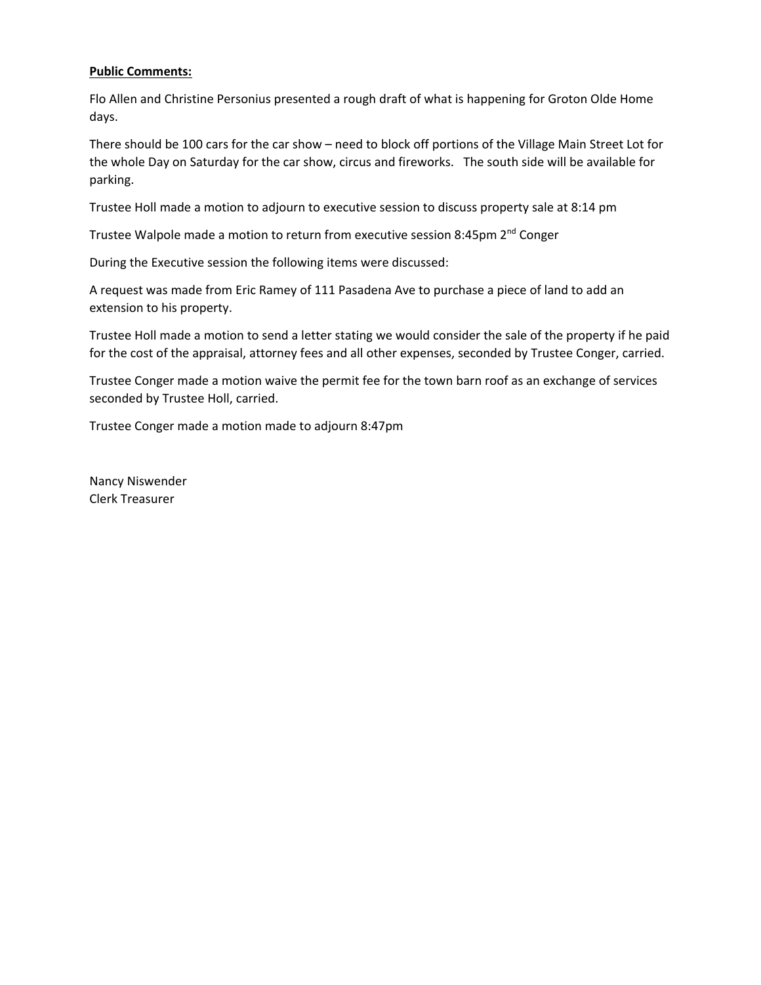### **Public Comments:**

Flo Allen and Christine Personius presented a rough draft of what is happening for Groton Olde Home days.

There should be 100 cars for the car show – need to block off portions of the Village Main Street Lot for the whole Day on Saturday for the car show, circus and fireworks. The south side will be available for parking.

Trustee Holl made a motion to adjourn to executive session to discuss property sale at 8:14 pm

Trustee Walpole made a motion to return from executive session 8:45pm 2<sup>nd</sup> Conger

During the Executive session the following items were discussed:

A request was made from Eric Ramey of 111 Pasadena Ave to purchase a piece of land to add an extension to his property.

Trustee Holl made a motion to send a letter stating we would consider the sale of the property if he paid for the cost of the appraisal, attorney fees and all other expenses, seconded by Trustee Conger, carried.

Trustee Conger made a motion waive the permit fee for the town barn roof as an exchange of services seconded by Trustee Holl, carried.

Trustee Conger made a motion made to adjourn 8:47pm

Nancy Niswender Clerk Treasurer